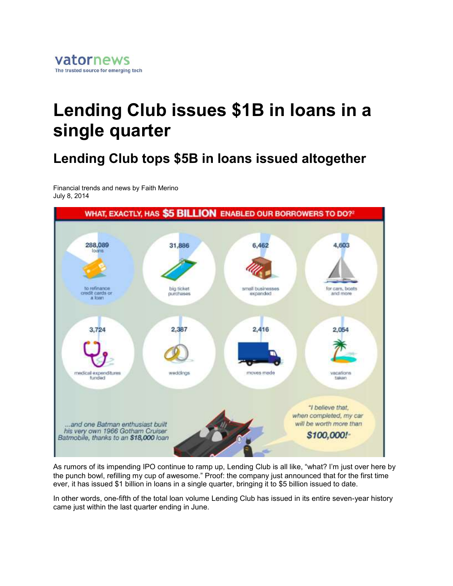## **Lending Club issues \$1B in loans in a single quarter**

## **Lending Club tops \$5B in loans issued altogether**

Financial trends and news by Faith Merino July 8, 2014



As rumors of its impending IPO continue to ramp up, Lending Club is all like, "what? I'm just over here by the punch bowl, refilling my cup of awesome." Proof: the company just announced that for the first time ever, it has issued \$1 billion in loans in a single quarter, bringing it to \$5 billion issued to date.

In other words, one-fifth of the total loan volume Lending Club has issued in its entire seven-year history came just within the last quarter ending in June.